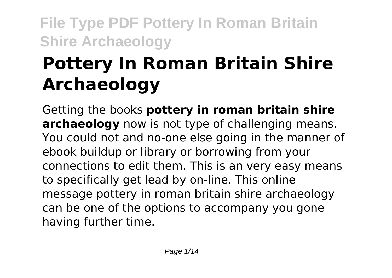# **Pottery In Roman Britain Shire Archaeology**

Getting the books **pottery in roman britain shire archaeology** now is not type of challenging means. You could not and no-one else going in the manner of ebook buildup or library or borrowing from your connections to edit them. This is an very easy means to specifically get lead by on-line. This online message pottery in roman britain shire archaeology can be one of the options to accompany you gone having further time.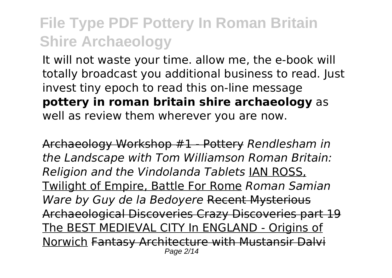It will not waste your time. allow me, the e-book will totally broadcast you additional business to read. Just invest tiny epoch to read this on-line message **pottery in roman britain shire archaeology** as well as review them wherever you are now.

Archaeology Workshop #1 - Pottery *Rendlesham in the Landscape with Tom Williamson Roman Britain: Religion and the Vindolanda Tablets* IAN ROSS, Twilight of Empire, Battle For Rome *Roman Samian Ware by Guy de la Bedoyere* Recent Mysterious Archaeological Discoveries Crazy Discoveries part 19 The BEST MEDIEVAL CITY In ENGLAND - Origins of Norwich Fantasy Architecture with Mustansir Dalvi Page 2/14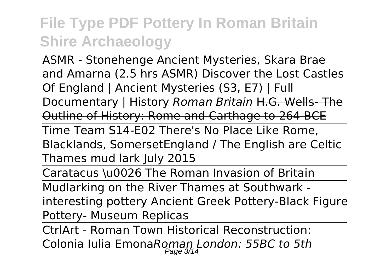ASMR - Stonehenge Ancient Mysteries, Skara Brae and Amarna (2.5 hrs ASMR) Discover the Lost Castles Of England | Ancient Mysteries (S3, E7) | Full Documentary | History *Roman Britain* H.G. Wells- The Outline of History: Rome and Carthage to 264 BCE

Time Team S14-E02 There's No Place Like Rome, Blacklands, SomersetEngland / The English are Celtic Thames mud lark July 2015

Caratacus \u0026 The Roman Invasion of Britain

Mudlarking on the River Thames at Southwark interesting pottery Ancient Greek Pottery-Black Figure Pottery- Museum Replicas

CtrlArt - Roman Town Historical Reconstruction: Colonia Iulia Emona*Roman London: 55BC to 5th*  $P$ age  $3/14$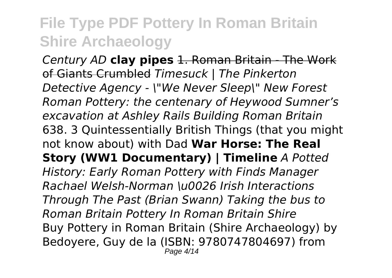*Century AD* **clay pipes** 1. Roman Britain - The Work of Giants Crumbled *Timesuck | The Pinkerton Detective Agency - \"We Never Sleep\" New Forest Roman Pottery: the centenary of Heywood Sumner's excavation at Ashley Rails Building Roman Britain* 638. 3 Quintessentially British Things (that you might not know about) with Dad **War Horse: The Real Story (WW1 Documentary) | Timeline** *A Potted History: Early Roman Pottery with Finds Manager Rachael Welsh-Norman \u0026 Irish Interactions Through The Past (Brian Swann) Taking the bus to Roman Britain Pottery In Roman Britain Shire* Buy Pottery in Roman Britain (Shire Archaeology) by Bedoyere, Guy de la (ISBN: 9780747804697) from Page 4/14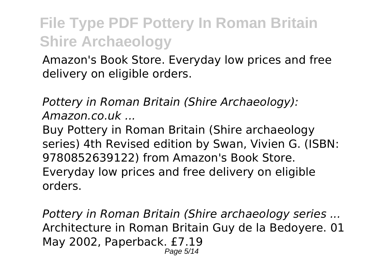Amazon's Book Store. Everyday low prices and free delivery on eligible orders.

*Pottery in Roman Britain (Shire Archaeology): Amazon.co.uk ...*

Buy Pottery in Roman Britain (Shire archaeology series) 4th Revised edition by Swan, Vivien G. (ISBN: 9780852639122) from Amazon's Book Store. Everyday low prices and free delivery on eligible orders.

*Pottery in Roman Britain (Shire archaeology series ...* Architecture in Roman Britain Guy de la Bedoyere. 01 May 2002, Paperback. £7.19 Page 5/14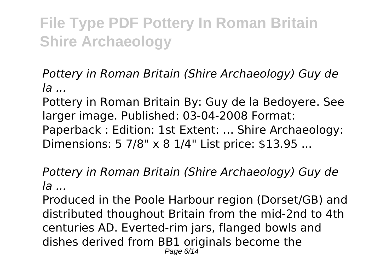*Pottery in Roman Britain (Shire Archaeology) Guy de la ...*

Pottery in Roman Britain By: Guy de la Bedoyere. See larger image. Published: 03-04-2008 Format: Paperback : Edition: 1st Extent: ... Shire Archaeology: Dimensions: 5 7/8" x 8 1/4" List price: \$13.95 ...

*Pottery in Roman Britain (Shire Archaeology) Guy de la ...*

Produced in the Poole Harbour region (Dorset/GB) and distributed thoughout Britain from the mid-2nd to 4th centuries AD. Everted-rim jars, flanged bowls and dishes derived from BB1 originals become the Page 6/14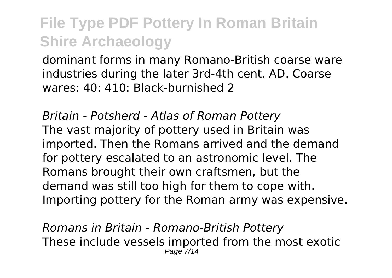dominant forms in many Romano-British coarse ware industries during the later 3rd-4th cent. AD. Coarse wares: 40: 410: Black-burnished 2

*Britain - Potsherd - Atlas of Roman Pottery* The vast majority of pottery used in Britain was imported. Then the Romans arrived and the demand for pottery escalated to an astronomic level. The Romans brought their own craftsmen, but the demand was still too high for them to cope with. Importing pottery for the Roman army was expensive.

*Romans in Britain - Romano-British Pottery* These include vessels imported from the most exotic  $P$ age  $7$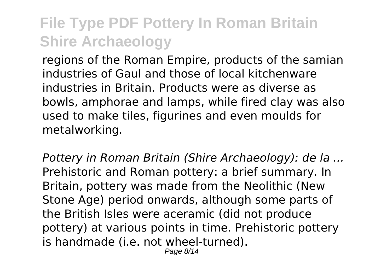regions of the Roman Empire, products of the samian industries of Gaul and those of local kitchenware industries in Britain. Products were as diverse as bowls, amphorae and lamps, while fired clay was also used to make tiles, figurines and even moulds for metalworking.

*Pottery in Roman Britain (Shire Archaeology): de la ...* Prehistoric and Roman pottery: a brief summary. In Britain, pottery was made from the Neolithic (New Stone Age) period onwards, although some parts of the British Isles were aceramic (did not produce pottery) at various points in time. Prehistoric pottery is handmade (i.e. not wheel-turned).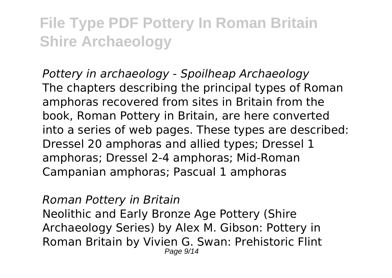*Pottery in archaeology - Spoilheap Archaeology* The chapters describing the principal types of Roman amphoras recovered from sites in Britain from the book, Roman Pottery in Britain, are here converted into a series of web pages. These types are described: Dressel 20 amphoras and allied types; Dressel 1 amphoras; Dressel 2-4 amphoras; Mid-Roman Campanian amphoras; Pascual 1 amphoras

*Roman Pottery in Britain*

Neolithic and Early Bronze Age Pottery (Shire Archaeology Series) by Alex M. Gibson: Pottery in Roman Britain by Vivien G. Swan: Prehistoric Flint Page 9/14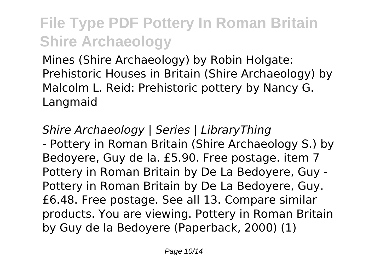Mines (Shire Archaeology) by Robin Holgate: Prehistoric Houses in Britain (Shire Archaeology) by Malcolm L. Reid: Prehistoric pottery by Nancy G. Langmaid

*Shire Archaeology | Series | LibraryThing* - Pottery in Roman Britain (Shire Archaeology S.) by Bedoyere, Guy de la. £5.90. Free postage. item 7 Pottery in Roman Britain by De La Bedoyere, Guy - Pottery in Roman Britain by De La Bedoyere, Guy. £6.48. Free postage. See all 13. Compare similar products. You are viewing. Pottery in Roman Britain by Guy de la Bedoyere (Paperback, 2000) (1)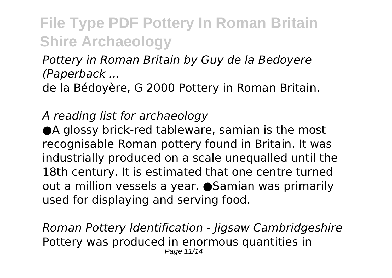*Pottery in Roman Britain by Guy de la Bedoyere (Paperback ...*

de la Bédoyère, G 2000 Pottery in Roman Britain.

*A reading list for archaeology*

●A glossy brick-red tableware, samian is the most recognisable Roman pottery found in Britain. It was industrially produced on a scale unequalled until the 18th century. It is estimated that one centre turned out a million vessels a year. ●Samian was primarily used for displaying and serving food.

*Roman Pottery Identification - Jigsaw Cambridgeshire* Pottery was produced in enormous quantities in Page 11/14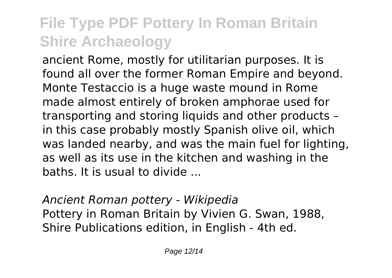ancient Rome, mostly for utilitarian purposes. It is found all over the former Roman Empire and beyond. Monte Testaccio is a huge waste mound in Rome made almost entirely of broken amphorae used for transporting and storing liquids and other products – in this case probably mostly Spanish olive oil, which was landed nearby, and was the main fuel for lighting, as well as its use in the kitchen and washing in the baths. It is usual to divide ...

*Ancient Roman pottery - Wikipedia* Pottery in Roman Britain by Vivien G. Swan, 1988, Shire Publications edition, in English - 4th ed.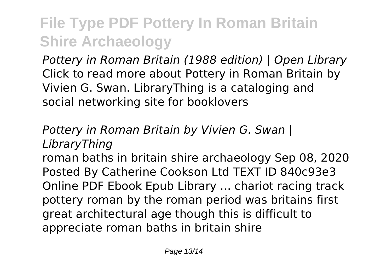*Pottery in Roman Britain (1988 edition) | Open Library* Click to read more about Pottery in Roman Britain by Vivien G. Swan. LibraryThing is a cataloging and social networking site for booklovers

*Pottery in Roman Britain by Vivien G. Swan | LibraryThing*

roman baths in britain shire archaeology Sep 08, 2020 Posted By Catherine Cookson Ltd TEXT ID 840c93e3 Online PDF Ebook Epub Library ... chariot racing track pottery roman by the roman period was britains first great architectural age though this is difficult to appreciate roman baths in britain shire